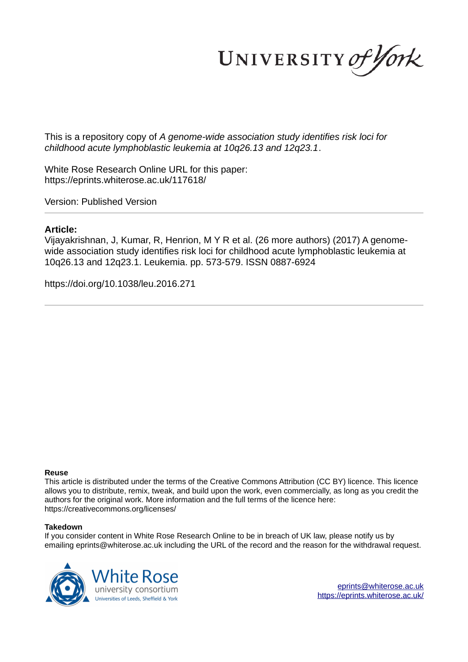UNIVERSITY of York

This is a repository copy of *A genome-wide association study identifies risk loci for childhood acute lymphoblastic leukemia at 10q26.13 and 12q23.1*.

White Rose Research Online URL for this paper: https://eprints.whiterose.ac.uk/117618/

Version: Published Version

# **Article:**

Vijayakrishnan, J, Kumar, R, Henrion, M Y R et al. (26 more authors) (2017) A genomewide association study identifies risk loci for childhood acute lymphoblastic leukemia at 10q26.13 and 12q23.1. Leukemia. pp. 573-579. ISSN 0887-6924

https://doi.org/10.1038/leu.2016.271

# **Reuse**

This article is distributed under the terms of the Creative Commons Attribution (CC BY) licence. This licence allows you to distribute, remix, tweak, and build upon the work, even commercially, as long as you credit the authors for the original work. More information and the full terms of the licence here: https://creativecommons.org/licenses/

# **Takedown**

If you consider content in White Rose Research Online to be in breach of UK law, please notify us by emailing eprints@whiterose.ac.uk including the URL of the record and the reason for the withdrawal request.

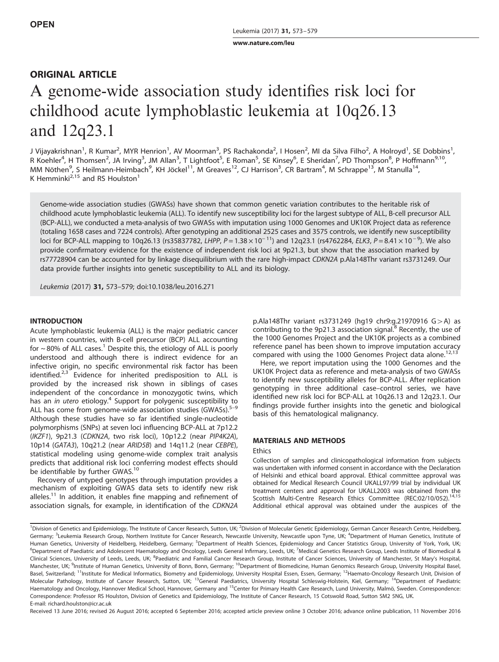www.nature.com/leu

# ORIGINAL ARTICLE

# A genome-wide association study identifies risk loci for childhood acute lymphoblastic leukemia at 10q26.13 and 12q23.1

J Vijayakrishnan<sup>1</sup>, R Kumar<sup>2</sup>, MYR Henrion<sup>1</sup>, AV Moorman<sup>3</sup>, PS Rachakonda<sup>2</sup>, I Hosen<sup>2</sup>, MI da Silva Filho<sup>2</sup>, A Holroyd<sup>1</sup>, SE Dobbins<sup>1</sup>, R Koehler<sup>4</sup>, H Thomsen<sup>2</sup>, JA Irving<sup>3</sup>, JM Allan<sup>3</sup>, T Lightfoot<sup>5</sup>, E Roman<sup>5</sup>, SE Kinsey<sup>6</sup>, E Sheridan<sup>7</sup>, PD Thompson<sup>8</sup>, P Hoffmann<sup>9,10</sup>, MM Nöthen<sup>9</sup>, S Heilmann-Heimbach<sup>9</sup>, KH Jöckel<sup>11</sup>, M Greaves<sup>12</sup>, CJ Harrison<sup>3</sup>, CR Bartram<sup>4</sup>, M Schrappe<sup>13</sup>, M Stanulla<sup>14</sup>, K Hemminki<sup>2,15</sup> and RS Houlston<sup>1</sup>

Genome-wide association studies (GWASs) have shown that common genetic variation contributes to the heritable risk of childhood acute lymphoblastic leukemia (ALL). To identify new susceptibility loci for the largest subtype of ALL, B-cell precursor ALL (BCP-ALL), we conducted a meta-analysis of two GWASs with imputation using 1000 Genomes and UK10K Project data as reference (totaling 1658 cases and 7224 controls). After genotyping an additional 2525 cases and 3575 controls, we identify new susceptibility loci for BCP-ALL mapping to 10q26.13 (rs35837782, LHPP, P = 1.38 × 10<sup>-11</sup>) and 12q23.1 (rs4762284, ELK3, P = 8.41 × 10<sup>-9</sup>). We also provide confirmatory evidence for the existence of independent risk loci at 9p21.3, but show that the association marked by rs77728904 can be accounted for by linkage disequilibrium with the rare high-impact CDKN2A p.Ala148Thr variant rs3731249. Our data provide further insights into genetic susceptibility to ALL and its biology.

Leukemia (2017) 31, 573–579; doi:10.1038/leu.2016.271

# INTRODUCTION

Acute lymphoblastic leukemia (ALL) is the major pediatric cancer in western countries, with B-cell precursor (BCP) ALL accounting for  $\sim$  80% of ALL cases.<sup>1</sup> Despite this, the etiology of ALL is poorly understood and although there is indirect evidence for an infective origin, no specific environmental risk factor has been identified. $2.3$  Evidence for inherited predisposition to ALL is provided by the increased risk shown in siblings of cases independent of the concordance in monozygotic twins, which has an in utero etiology.<sup>4</sup> Support for polygenic susceptibility to ALL has come from genome-wide association studies (GWASs). $5-9$ Although these studies have so far identified single-nucleotide polymorphisms (SNPs) at seven loci influencing BCP-ALL at 7p12.2 (IKZF1), 9p21.3 (CDKN2A, two risk loci), 10p12.2 (near PIP4K2A), 10p14 (GATA3), 10q21.2 (near ARID5B) and 14q11.2 (near CEBPE), statistical modeling using genome-wide complex trait analysis predicts that additional risk loci conferring modest effects should be identifiable by further GWAS.<sup>10</sup>

Recovery of untyped genotypes through imputation provides a mechanism of exploiting GWAS data sets to identify new risk alleles.<sup>11</sup> In addition, it enables fine mapping and refinement of association signals, for example, in identification of the CDKN2A p.Ala148Thr variant rs3731249 (hg19 chr9:g.21970916  $G > A$ ) as contributing to the 9p21.3 association signal.<sup>8</sup> Recently, the use of the 1000 Genomes Project and the UK10K projects as a combined reference panel has been shown to improve imputation accuracy compared with using the 1000 Genomes Project data alone.<sup>12,13</sup>

Here, we report imputation using the 1000 Genomes and the UK10K Project data as reference and meta-analysis of two GWASs to identify new susceptibility alleles for BCP-ALL. After replication genotyping in three additional case–control series, we have identified new risk loci for BCP-ALL at 10q26.13 and 12q23.1. Our findings provide further insights into the genetic and biological basis of this hematological malignancy.

# MATERIALS AND METHODS

#### **Ethics**

Collection of samples and clinicopathological information from subjects was undertaken with informed consent in accordance with the Declaration of Helsinki and ethical board approval. Ethical committee approval was obtained for Medical Research Council UKALL97/99 trial by individual UK treatment centers and approval for UKALL2003 was obtained from the<br>Scottish Multi-Centre Research Ethics Committee (REC:02/10/052).<sup>14,15</sup> Additional ethical approval was obtained under the auspices of the

<sup>1</sup>Division of Genetics and Epidemiology, The Institute of Cancer Research, Sutton, UK; <sup>2</sup>Division of Molecular Genetic Epidemiology, German Cancer Research Centre, Heidelberg, Germany; <sup>3</sup>Leukemia Research Group, Northern Institute for Cancer Research, Newcastle University, Newcastle upon Tyne, UK; <sup>4</sup>Department of Human Genetics, Institute of Human Genetics, University of Heidelberg, Heidelberg, Germany; <sup>5</sup>Department of Health Sciences, Epidemiology and Cancer Statistics Group, University of York, York, UK; <sup>6</sup>Department of Paediatric and Adolescent Haematology and Oncology, Leeds General Infirmary, Leeds, UK; <sup>7</sup>Medical Genetics Research Group, Leeds Institute of Biomedical & Clinical Sciences, University of Leeds, Leeds, UK; <sup>8</sup>Paediatric and Familial Cancer Research Group, Institute of Cancer Sciences, University of Manchester, St Mary's Hospital, Manchester, UK; <sup>9</sup>Institute of Human Genetics, University of Bonn, Bonn, Germany; <sup>10</sup>Department of Biomedicine, Human Genomics Research Group, University Hospital Basel, Basel, Switzerland; <sup>11</sup>Institute for Medical Informatics, Biometry and Epidemiology, University Hospital Essen, Essen, Germany; <sup>12</sup>Haemato-Oncology Research Unit, Division of Molecular Pathology, Institute of Cancer Research, Sutton, UK; <sup>13</sup>General Paediatrics, University Hospital Schleswig-Holstein, Kiel, Germany; <sup>14</sup>Department of Paediatric Haematology and Oncology, Hannover Medical School, Hannover, Germany and <sup>15</sup>Center for Primary Health Care Research, Lund University, Malmö, Sweden. Correspondence: Correspondence: Professor RS Houlston, Division of Genetics and Epidemiology, The Institute of Cancer Research, 15 Cotswold Road, Sutton SM2 5NG, UK. E-mail: richard.houlston@icr.ac.uk

Received 13 June 2016; revised 26 August 2016; accepted 6 September 2016; accepted article preview online 3 October 2016; advance online publication, 11 November 2016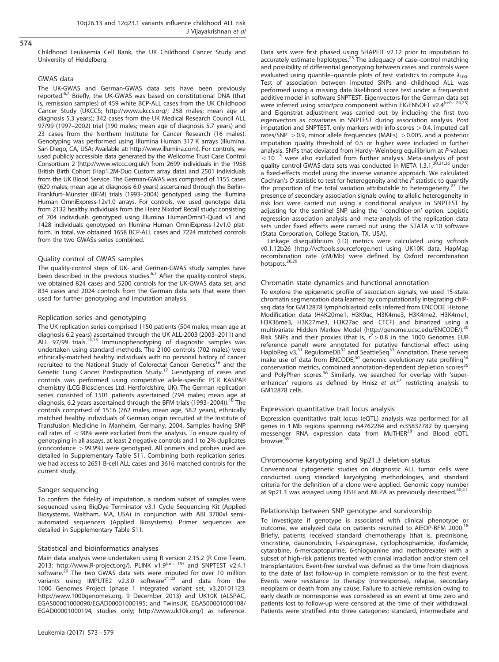574

#### Childhood Leukaemia Cell Bank, the UK Childhood Cancer Study and University of Heidelberg.

#### GWAS data

The UK-GWAS and German-GWAS data sets have been previously reported.<sup>6,7</sup> Briefly, the UK-GWAS was based on constitutional DNA (that is, remission samples) of 459 white BCP-ALL cases from the UK Childhood Cancer Study (UKCCS; http://www.ukccs.org/; 258 males; mean age at diagnosis 5.3 years); 342 cases from the UK Medical Research Council ALL 97/99 (1997–2002) trial (190 males; mean age of diagnosis 5.7 years) and 23 cases from the Northern Institute for Cancer Research (16 males). Genotyping was performed using Illumina Human 317 K arrays (Illumina, San Diego, CA, USA; Available at: http://www.illumina.com). For controls, we used publicly accessible data generated by the Wellcome Trust Case Control Consortium 2 (http://www.wtccc.org.uk/) from 2699 individuals in the 1958 British Birth Cohort (Hap1.2M-Duo Custom array data) and 2501 individuals from the UK Blood Service. The German-GWAS was comprised of 1155 cases (620 males; mean age at diagnosis 6.0 years) ascertained through the Berlin– Frankfurt–Münster (BFM) trials (1993–2004) genotyped using the Illumina Human OmniExpress-12v1.0 arrays. For controls, we used genotype data from 2132 healthy individuals from the Heinz Nixdorf Recall study; consisting of 704 individuals genotyped using Illumina HumanOmni1-Quad\_v1 and 1428 individuals genotyped on Illumina Human OmniExpress-12v1.0 platform. In total, we obtained 1658 BCP-ALL cases and 7224 matched controls from the two GWASs series combined.

### Quality control of GWAS samples

The quality-control steps of UK- and German-GWAS study samples have been described in the previous studies.<sup>6,7</sup> After the quality-control steps, we obtained 824 cases and 5200 controls for the UK-GWAS data set, and 834 cases and 2024 controls from the German data sets that were then used for further genotyping and imputation analysis.

### Replication series and genotyping

The UK replication series comprised 1150 patients (504 males; mean age at diagnosis 6.2 years) ascertained through the UK ALL-2003 (2003–2011) and ALL 97/99 trials.<sup>14,15</sup> Immunophenotyping of diagnostic samples was undertaken using standard methods. The 2100 controls (702 males) were ethnically-matched healthy individuals with no personal history of cancer recruited to the National Study of Colorectal Cancer Genetics<sup>16</sup> and the Genetic Lung Cancer Predisposition Study.<sup>17</sup> Genotyping of cases and controls was performed using competitive allele-specific PCR KASPAR chemistry (LCG Biosciences Ltd, Hertfordshire, UK). The German replication series consisted of 1501 patients ascertained (794 males; mean age at diagnosis, 6.2 years ascertained through the BFM trials (1993–2004)).<sup>18</sup> The controls comprised of 1516 (762 males; mean age, 58.2 years), ethnically matched healthy individuals of German origin recruited at the Institute of Transfusion Medicine in Manheim, Germany, 2004. Samples having SNP call rates of  $<$  90% were excluded from the analysis. To ensure quality of genotyping in all assays, at least 2 negative controls and 1 to 2% duplicates (concordance > 99.9%) were genotyped. All primers and probes used are detailed in Supplementary Table S11. Combining both replication series, we had access to 2651 B-cell ALL cases and 3616 matched controls for the current study.

#### Sanger sequencing

To confirm the fidelity of imputation, a random subset of samples were sequenced using BigDye Terminator v3.1 Cycle Sequencing Kit (Applied Biosystems, Waltham, MA, USA) in conjunction with ABI 3700xl semiautomated sequencers (Applied Biosystems). Primer sequences are detailed in Supplementary Table S11.

#### Statistical and bioinformatics analyses

Main data analysis were undertaken using R version 2.15.2 (R Core Team, 2013; http://www.R-project.org/), PLINK v1.9<sup>(ref. 19)</sup> and SNPTEST v2.4.1 software.<sup>20</sup> The two GWAS data sets were imputed for over 10 million variants using IMPUTE2 v2.3.0 software<sup>21,22</sup> and data from the 1000 Genomes Project (phase 1 integrated variant set, v3.20101123, http://www.1000genomes.org, 9 December 2013) and UK10K (ALSPAC, EGAS00001000090/EGAD00001000195; and TwinsUK, EGAS00001000108/ EGAD00001000194, studies only; http://www.uk10k.org/) as reference. Data sets were first phased using SHAPEIT v2.12 prior to imputation to accurately estimate haplotypes.<sup>23</sup> The adequacy of case–control matching and possibility of differential genotyping between cases and controls were evaluated using quantile–quantile plots of test statistics to compute  $\lambda_{100}$ . Test of association between imputed SNPs and childhood ALL was performed using a missing data likelihood score test under a frequentist additive model in software SNPTEST. Eigenvectors for the German data set were inferred using smartpca component within EIGENSOFT v2.4<sup>(refs. 24,25)</sup> and Eigenstrat adjustment was carried out by including the first two eigenvectors as covariates in SNPTEST during association analysis. Post imputation and SNPTEST, only markers with info scores  $>$  0.4, imputed call rates/SNP  $>$  0.9, minor allele frequencies (MAFs)  $>$  0.005, and a posterior imputation quality threshold of 0.5 or higher were included in further analysis. SNPs that deviated from Hardy–Weinberg equilibrium at P-values  $<$  10<sup>-5</sup> were also excluded from further analysis. Meta-analysis of post quality control GWAS data sets was conducted in META 1.3.1,<sup>20,21,26</sup> under a fixed-effects model using the inverse variance approach. We calculated Cochran's Q statistic to test for heterogeneity and the  $l^2$  statistic to quantify the proportion of the total variation attributable to heterogeneity.<sup>27</sup> The presence of secondary association signals owing to allelic heterogeneity in risk loci were carried out using a conditional analysis in SNPTEST by adjusting for the sentinel SNP using the '–condition-on' option. Logistic regression association analysis and meta-analysis of the replication data sets under fixed effects were carried out using the STATA v.10 software (Stata Corporation, College Station, TX, USA).

Linkage disequilibrium (LD) metrics were calculated using vcftools v0.1.12b26 (http://vcftools.sourceforge.net) using UK10K data. HapMap recombination rate (cM/Mb) were defined by Oxford recombination hotspots.<sup>28,29</sup>

#### Chromatin state dynamics and functional annotation

To explore the epigenetic profile of association signals, we used 15-state chromatin segmentation data learned by computationally integrating chIPseq data for GM12878 lymphoblastoid cells inferred from ENCODE Histone Modification data (H4K20me1, H3K9ac, H3K4me3, H3K4me2, H3K4me1, H3K36me3, H3K27me3, H3K27ac and CTCF) and binarized using a<br>multivariate Hidden Markov Model (http://genome.ucsc.edu/ENCODE/).<sup>30</sup> Risk SNPs and their proxies (that is,  $r^2 > 0.8$  in the 1000 Genomes EUR reference panel) were annotated for putative functional effect using HaploReg v3,<sup>31</sup> RegulomeDB<sup>32</sup> and SeattleSeq<sup>33</sup> Annotation. These servers make use of data from ENCODE,<sup>30</sup> genomic evolutionary rate profiling<sup>34</sup> conservation metrics, combined annotation-dependent depletion scores<sup>35</sup> and PolyPhen scores.<sup>36</sup> Similarly, we searched for overlap with 'superenhancer' regions as defined by Hnisz et  $al^{37}$  restricting analysis to GM12878 cells.

#### Expression quantitative trait locus analysis

Expression quantitative trait locus (eQTL) analysis was performed for all genes in 1 Mb regions spanning rs4762284 and rs35837782 by querying messenger RNA expression data from MuTHER<sup>38</sup> and Blood eQTL browser.

# Chromosome karyotyping and 9p21.3 deletion status

Conventional cytogenetic studies on diagnostic ALL tumor cells were conducted using standard karyotyping methodologies, and standard criteria for the definition of a clone were applied. Genomic copy number at 9p21.3 was assayed using FISH and MLPA as previously described.<sup>40,41</sup>

### Relationship between SNP genotype and survivorship

To investigate if genotype is associated with clinical phenotype or outcome, we analyzed data on patients recruited to AIEOP-BFM 2000.<sup>18</sup> Briefly, patients received standard chemotherapy (that is, prednisone, vincristine, daunorubicin, l-asparaginase, cyclophosphamide, ifosfamide, cytarabine, 6-mercaptopurine, 6-thioguanine and methotrexate) with a subset of high-risk patients treated with cranial irradiation and/or stem cell transplantation. Event-free survival was defined as the time from diagnosis to the date of last follow-up in complete remission or to the first event. Events were resistance to therapy (nonresponse), relapse, secondary neoplasm or death from any cause. Failure to achieve remission owing to early death or nonresponse was considered as an event at time zero and patients lost to follow-up were censored at the time of their withdrawal. Patients were stratified into three categories: standard, intermediate and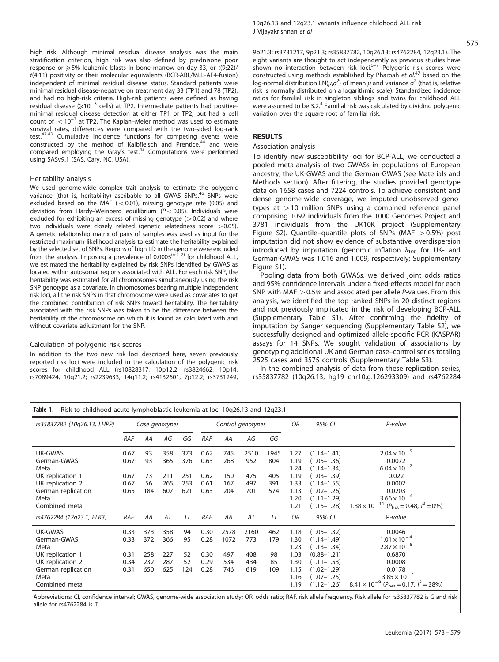high risk. Although minimal residual disease analysis was the main stratification criterion, high risk was also defined by prednisone poor response or  $\geq$  5% leukemic blasts in bone marrow on day 33, or  $t(9;22)$ / t(4;11) positivity or their molecular equivalents (BCR-ABL/MLL-AF4-fusion) independent of minimal residual disease status. Standard patients were minimal residual disease-negative on treatment day 33 (TP1) and 78 (TP2), and had no high-risk criteria. High-risk patients were defined as having residual disease (⩾10 <sup>−</sup><sup>3</sup> cells) at TP2. Intermediate patients had positiveminimal residual disease detection at either TP1 or TP2, but had a cell  $\frac{1}{2}$  count of  $\frac{1}{2}$  of  $10^{-3}$  at TP2. The Kaplan–Meier method was used to estimate survival rates, differences were compared with the two-sided log-rank test.<sup>42,43</sup> Cumulative incidence functions for competing events were constructed by the method of Kalbfleisch and Prentice,<sup>44</sup> and were compared employing the Gray's test.<sup>45</sup> Computations were performed using SASv9.1 (SAS, Cary, NC, USA).

#### Heritability analysis

We used genome-wide complex trait analysis to estimate the polygenic variance (that is, heritability) ascribable to all GWAS SNPs.<sup>46</sup> SNPs were excluded based on the MAF  $(< 0.01$ ), missing genotype rate (0.05) and deviation from Hardy–Weinberg equilibrium ( $P < 0.05$ ). Individuals were excluded for exhibiting an excess of missing genotype  $(>0.02)$  and where two individuals were closely related (genetic relatedness score  $>0.05$ ). A genetic relationship matrix of pairs of samples was used as input for the restricted maximum likelihood analysis to estimate the heritability explained by the selected set of SNPs. Regions of high LD in the genome were excluded<br>from the analysis. Imposing a prevalence of 0.0005<sup>(ref. 2)</sup> for childhood ALL, we estimated the heritability explained by risk SNPs identified by GWAS as located within autosomal regions associated with ALL. For each risk SNP, the heritability was estimated for all chromosomes simultaneously using the risk SNP genotype as a covariate. In chromosomes bearing multiple independent risk loci, all the risk SNPs in that chromosome were used as covariates to get the combined contribution of risk SNPs toward heritability. The heritability associated with the risk SNPs was taken to be the difference between the heritability of the chromosome on which it is found as calculated with and without covariate adjustment for the SNP.

#### Calculation of polygenic risk scores

In addition to the two new risk loci described here, seven previously reported risk loci were included in the calculation of the polygenic risk scores for childhood ALL (rs10828317, 10p12.2; rs3824662, 10p14; rs7089424, 10q21.2; rs2239633, 14q11.2; rs4132601, 7p12.2; rs3731249, 575

9p21.3; rs3731217, 9p21.3; rs35837782, 10q26.13; rs4762284, 12q23.1). The eight variants are thought to act independently as previous studies have shown no interaction between risk loci.<sup>5–7</sup> Polygenic risk scores were constructed using methods established by Pharoah et  $al^{47}$  based on the log-normal distribution LN( $\mu$ , $\sigma^2$ ) of mean  $\mu$  and variance  $\sigma^2$  (that is, relative risk is normally distributed on a logarithmic scale). Standardized incidence ratios for familial risk in singleton siblings and twins for childhood ALL were assumed to be 3.2.<sup>4</sup> Familial risk was calculated by dividing polygenic variation over the square root of familial risk.

# **RESULTS**

#### Association analysis

To identify new susceptibility loci for BCP-ALL, we conducted a pooled meta-analysis of two GWASs in populations of European ancestry, the UK-GWAS and the German-GWAS (see Materials and Methods section). After filtering, the studies provided genotype data on 1658 cases and 7224 controls. To achieve consistent and dense genome-wide coverage, we imputed unobserved genotypes at  $>10$  million SNPs using a combined reference panel comprising 1092 individuals from the 1000 Genomes Project and 3781 individuals from the UK10K project (Supplementary Figure S2). Quantile–quantile plots of SNPs (MAF  $> 0.5\%$ ) post imputation did not show evidence of substantive overdispersion introduced by imputation (genomic inflation  $\lambda_{100}$  for UK- and German-GWAS was 1.016 and 1.009, respectively; Supplementary Figure S1).

Pooling data from both GWASs, we derived joint odds ratios and 95% confidence intervals under a fixed-effects model for each SNP with MAF  $>$  0.5% and associated per allele P-values. From this analysis, we identified the top-ranked SNPs in 20 distinct regions and not previously implicated in the risk of developing BCP-ALL (Supplementary Table S1). After confirming the fidelity of imputation by Sanger sequencing (Supplementary Table S2), we successfully designed and optimized allele-specific PCR (KASPAR) assays for 14 SNPs. We sought validation of associations by genotyping additional UK and German case–control series totaling 2525 cases and 3575 controls (Supplementary Table S3).

In the combined analysis of data from these replication series, rs35837782 (10q26.13, hg19 chr10:g.126293309) and rs4762284

| rs35837782 (10q26.13, LHPP) | Case genotypes |     |     |     | Control genotypes |      |      |      | <b>OR</b> | 95% CI          | P-value                                                          |
|-----------------------------|----------------|-----|-----|-----|-------------------|------|------|------|-----------|-----------------|------------------------------------------------------------------|
|                             | <b>RAF</b>     | AA  | AG  | GG  | RAF               | AA   | AG   | GG   |           |                 |                                                                  |
| UK-GWAS                     | 0.67           | 93  | 358 | 373 | 0.62              | 745  | 2510 | 1945 | 1.27      | $(1.14 - 1.41)$ | $2.04 \times 10^{-5}$                                            |
| German-GWAS                 | 0.67           | 93  | 365 | 376 | 0.63              | 268  | 952  | 804  | 1.19      | $(1.05 - 1.36)$ | 0.0072                                                           |
| Meta                        |                |     |     |     |                   |      |      |      | 1.24      | $(1.14 - 1.34)$ | $6.04 \times 10^{-7}$                                            |
| UK replication 1            | 0.67           | 73  | 211 | 251 | 0.62              | 150  | 475  | 405  | 1.19      | $(1.03 - 1.39)$ | 0.022                                                            |
| UK replication 2            | 0.67           | 56  | 265 | 253 | 0.61              | 167  | 497  | 391  | 1.33      | $(1.14 - 1.55)$ | 0.0002                                                           |
| German replication          | 0.65           | 184 | 607 | 621 | 0.63              | 204  | 701  | 574  | 1.13      | $(1.02 - 1.26)$ | 0.0203                                                           |
| Meta                        |                |     |     |     |                   |      |      |      | 1.20      | $(1.11 - 1.29)$ | $3.66 \times 10^{-6}$                                            |
| Combined meta               |                |     |     |     |                   |      |      |      | 1.21      | $(1.15 - 1.28)$ | $1.38 \times 10^{-11}$ ( $P_{\text{het}} = 0.48$ , $l^2 = 0\%$ ) |
| rs4762284 (12q23.1, ELK3)   | RAF            | AA  | AT  | T   | RAF               | AA   | AT   | T    | <b>OR</b> | 95% CI          | P-value                                                          |
| UK-GWAS                     | 0.33           | 373 | 358 | 94  | 0.30              | 2578 | 2160 | 462  | 1.18      | $(1.05 - 1.32)$ | 0.0046                                                           |
| German-GWAS                 | 0.33           | 372 | 366 | 95  | 0.28              | 1072 | 773  | 179  | 1.30      | $(1.14 - 1.49)$ | $1.01 \times 10^{-4}$                                            |
| Meta                        |                |     |     |     |                   |      |      |      | 1.23      | $(1.13 - 1.34)$ | $2.87 \times 10^{-6}$                                            |
| UK replication 1            | 0.31           | 258 | 227 | 52  | 0.30              | 497  | 408  | 98   | 1.03      | $(0.88 - 1.21)$ | 0.6870                                                           |
| UK replication 2            | 0.34           | 232 | 287 | 52  | 0.29              | 534  | 434  | 85   | 1.30      | $(1.11 - 1.53)$ | 0.0008                                                           |
| German replication          | 0.31           | 650 | 625 | 124 | 0.28              | 746  | 619  | 109  | 1.15      | $(1.02 - 1.29)$ | 0.0178                                                           |
| Meta                        |                |     |     |     |                   |      |      |      | 1.16      | $(1.07 - 1.25)$ | $3.85 \times 10^{-4}$                                            |
| Combined meta               |                |     |     |     |                   |      |      |      | 1.19      | $(1.12 - 1.26)$ | $8.41 \times 10^{-9}$ ( $P_{\text{het}} = 0.17$ , $l^2 = 38\%$ ) |

Abbreviations: CI, confidence interval; GWAS, genome-wide association study; OR, odds ratio; RAF, risk allele frequency. Risk allele for rs35837782 is G and risk allele for rs4762284 is T.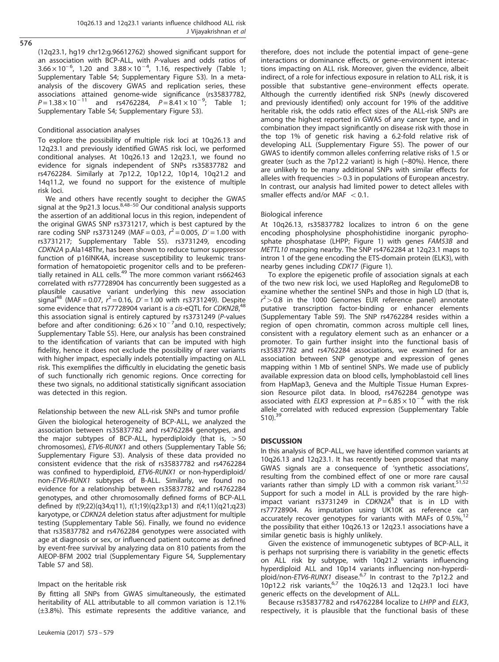576

(12q23.1, hg19 chr12:g.96612762) showed significant support for an association with BCP-ALL, with P-values and odds ratios of 1.0 association that Set they that I relates the seas ratios of the 1; Supplementary Table S4; Supplementary Figure S3). In a metaanalysis of the discovery GWAS and replication series, these associations attained genome-wide significance (rs35837782,  $P = 1.38 \times 10^{-11}$  and rs4762284,  $P = 8.41 \times 10^{-9}$ ; Table 1; Supplementary Table S4; Supplementary Figure S3).

## Conditional association analyses

To explore the possibility of multiple risk loci at 10q26.13 and 12q23.1 and previously identified GWAS risk loci, we performed conditional analyses. At 10q26.13 and 12q23.1, we found no evidence for signals independent of SNPs rs35837782 and rs4762284. Similarly at 7p12.2, 10p12.2, 10p14, 10q21.2 and 14q11.2, we found no support for the existence of multiple risk loci.

We and others have recently sought to decipher the GWAS<br>signal at the 9p21.3 locus.<sup>8,48–50</sup> Our conditional analysis supports the assertion of an additional locus in this region, independent of the original GWAS SNP rs3731217, which is best captured by the rare coding SNP rs3731249 (MAF = 0.03,  $r^2 = 0.005$ ,  $D' = 1.00$  with rs3731217; Supplementary Table S5). rs3731249, encoding CDKN2A p.Ala148Thr, has been shown to reduce tumor suppressor function of p16INK4A, increase susceptibility to leukemic transformation of hematopoietic progenitor cells and to be preferentially retained in ALL cells.<sup>49</sup> The more common variant rs662463 correlated with rs77728904 has concurrently been suggested as a plausible causative variant underlying this new association signal<sup>48</sup> (MAF = 0.07,  $r^2$  = 0.16, D' = 1.00 with rs3731249). Despite some evidence that rs77728904 variant is a cis-eQTL for CDKN2B,<sup>48</sup> this association signal is entirely captured by rs3731249 (P-values  $\frac{1}{2}$  before and after conditioning: 6.26 × 10<sup>-7</sup> and 0.10, respectively; Supplementary Table S5). Here, our analysis has been constrained to the identification of variants that can be imputed with high fidelity, hence it does not exclude the possibility of rarer variants with higher impact, especially indels potentially impacting on ALL risk. This exemplifies the difficultly in elucidating the genetic basis of such functionally rich genomic regions. Once correcting for these two signals, no additional statistically significant association was detected in this region.

# Relationship between the new ALL-risk SNPs and tumor profile

Given the biological heterogeneity of BCP-ALL, we analyzed the association between rs35837782 and rs4762284 genotypes, and the major subtypes of BCP-ALL, hyperdiploidy (that is,  $>50$ chromosomes), ETV6-RUNX1 and others (Supplementary Table S6; Supplementary Figure S3). Analysis of these data provided no consistent evidence that the risk of rs35837782 and rs4762284 was confined to hyperdiploid, ETV6-RUNX1 or non-hyperdiploid/ non-ETV6-RUNX1 subtypes of B-ALL. Similarly, we found no evidence for a relationship between rs35837782 and rs4762284 genotypes, and other chromosomally defined forms of BCP-ALL defined by t(9;22)(q34;q11), t(1;19)(q23;p13) and t(4;11)(q21;q23) karyotype, or CDKN2A deletion status after adjustment for multiple testing (Supplementary Table S6). Finally, we found no evidence that rs35837782 and rs4762284 genotypes were associated with age at diagnosis or sex, or influenced patient outcome as defined by event-free survival by analyzing data on 810 patients from the AIEOP-BFM 2002 trial (Supplementary Figure S4, Supplementary Table S7 and S8).

# Impact on the heritable risk

By fitting all SNPs from GWAS simultaneously, the estimated heritability of ALL attributable to all common variation is 12.1% (±3.8%). This estimate represents the additive variance, and therefore, does not include the potential impact of gene–gene interactions or dominance effects, or gene–environment interactions impacting on ALL risk. Moreover, given the evidence, albeit indirect, of a role for infectious exposure in relation to ALL risk, it is possible that substantive gene–environment effects operate. Although the currently identified risk SNPs (newly discovered and previously identified) only account for 19% of the additive heritable risk, the odds ratio effect sizes of the ALL-risk SNPs are among the highest reported in GWAS of any cancer type, and in combination they impact significantly on disease risk with those in the top 1% of genetic risk having a 6.2-fold relative risk of developing ALL (Supplementary Figure S5). The power of our GWAS to identify common alleles conferring relative risks of 1.5 or greater (such as the 7p12.2 variant) is high  $(\sim 80\%)$ . Hence, there are unlikely to be many additional SNPs with similar effects for alleles with frequencies  $>0.3$  in populations of European ancestry. In contrast, our analysis had limited power to detect alleles with smaller effects and/or MAF  $< 0.1$ .

#### Biological inference

At 10q26.13, rs35837782 localizes to intron 6 on the gene encoding phospholysine phosphohistidine inorganic pyrophosphate phosphatase (LHPP; Figure 1) with genes FAM53B and METTL10 mapping nearby. The SNP rs4762284 at 12q23.1 maps to intron 1 of the gene encoding the ETS-domain protein (ELK3), with nearby genes including CDK17 (Figure 1).

To explore the epigenetic profile of association signals at each of the two new risk loci, we used HaploReg and RegulomeDB to examine whether the sentinel SNPs and those in high LD (that is,  $r^2$  > 0.8 in the 1000 Genomes EUR reference panel) annotate putative transcription factor-binding or enhancer elements (Supplementary Table S9). The SNP rs4762284 resides within a region of open chromatin, common across multiple cell lines, consistent with a regulatory element such as an enhancer or a promoter. To gain further insight into the functional basis of rs35837782 and rs4762284 associations, we examined for an association between SNP genotype and expression of genes mapping within 1 Mb of sentinel SNPs. We made use of publicly available expression data on blood cells, lymphoblastoid cell lines from HapMap3, Geneva and the Multiple Tissue Human Expression Resource pilot data. In blood, rs4762284 genotype was associated with *ELK3* expression at  $P = 6.85 \times 10^{-4}$  with the risk allele correlated with reduced expression (Supplementary Table  $510$ <sup>39</sup>

# **DISCUSSION**

In this analysis of BCP-ALL, we have identified common variants at 10q26.13 and 12q23.1. It has recently been proposed that many GWAS signals are a consequence of 'synthetic associations', resulting from the combined effect of one or more rare causal variants rather than simply LD with a common risk variant.  $51,52$ Support for such a model in ALL is provided by the rare highimpact variant rs3731249 in CDKN2A<sup>8</sup> that is in LD with rs77728904. As imputation using UK10K as reference can accurately recover genotypes for variants with MAFs of  $0.5\%$ <sup>12</sup> the possibility that either 10q26.13 or 12q23.1 associations have a similar genetic basis is highly unlikely.

Given the existence of immunogenetic subtypes of BCP-ALL, it is perhaps not surprising there is variability in the genetic effects on ALL risk by subtype, with 10q21.2 variants influencing hyperdiploid ALL and 10p14 variants influencing non-hyperdiploid/non-ETV6-RUNX1 disease.<sup>6,7</sup> In contrast to the 7p12.2 and 10p12.2 risk variants,<sup>6,7</sup> the 10q26.13 and 12q23.1 loci have generic effects on the development of ALL.

Because rs35837782 and rs4762284 localize to LHPP and ELK3, respectively, it is plausible that the functional basis of these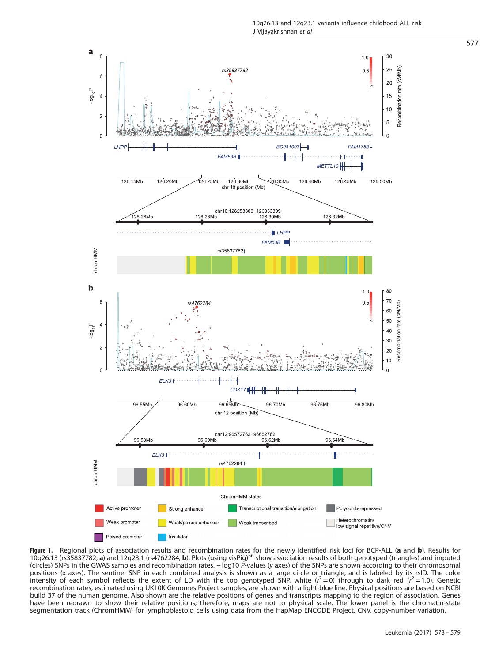

Figure 1. Regional plots of association results and recombination rates for the newly identified risk loci for BCP-ALL (a and b). Results for 10q26.13 (rs35837782, a) and 12q23.1 (rs4762284, b). Plots (using visPig)<sup>56</sup> show association results of both genotyped (triangles) and imputed (circles) SNPs in the GWAS samples and recombination rates. − log10 P-values (y axes) of the SNPs are shown according to their chromosomal positions (x axes). The sentinel SNP in each combined analysis is shown as a large circle or triangle, and is labeled by its rsID. The color<br>intensity of each symbol reflects the extent of LD with the top genotyped SNP, w recombination rates, estimated using UK10K Genomes Project samples, are shown with a light-blue line. Physical positions are based on NCBI build 37 of the human genome. Also shown are the relative positions of genes and transcripts mapping to the region of association. Genes have been redrawn to show their relative positions; therefore, maps are not to physical scale. The lower panel is the chromatin-state segmentation track (ChromHMM) for lymphoblastoid cells using data from the HapMap ENCODE Project. CNV, copy-number variation.

577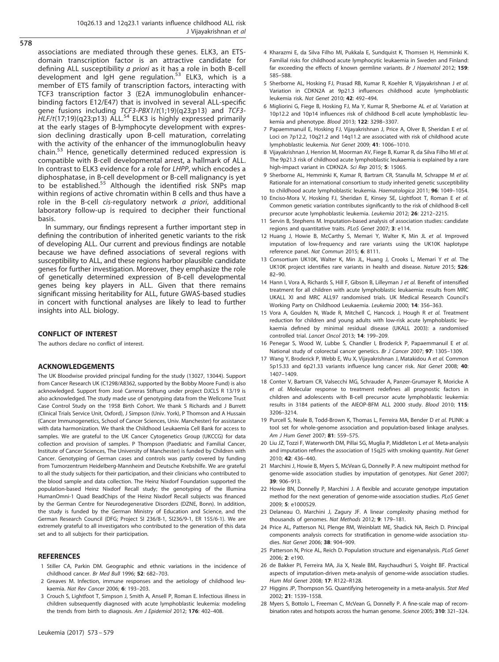associations are mediated through these genes. ELK3, an ETSdomain transcription factor is an attractive candidate for defining ALL susceptibility a priori as it has a role in both B-cell development and IgH gene regulation.<sup>53</sup> ELK3, which is a member of ETS family of transcription factors, interacting with TCF3 transcription factor 3 (E2A immunoglobulin enhancerbinding factors E12/E47) that is involved in several ALL-specific gene fusions including TCF3-PBX1/t(1;19)(q23;p13) and TCF3- $HLF/t(17;19)(q23;p13)$  ALL.<sup>54</sup> ELK3 is highly expressed primarily at the early stages of B-lymphocyte development with expression declining drastically upon B-cell maturation, correlating with the activity of the enhancer of the immunoglobulin heavy chain.<sup>53</sup> Hence, genetically determined reduced expression is compatible with B-cell developmental arrest, a hallmark of ALL. In contrast to ELK3 evidence for a role for LHPP, which encodes a diphosphatase, in B-cell development or B-cell malignancy is yet to be established.<sup>55</sup> Although the identified risk SNPs map within regions of active chromatin within B cells and thus have a role in the B-cell cis-regulatory network a priori, additional laboratory follow-up is required to decipher their functional basis.

In summary, our findings represent a further important step in defining the contribution of inherited genetic variants to the risk of developing ALL. Our current and previous findings are notable because we have defined associations of several regions with susceptibility to ALL, and these regions harbor plausible candidate genes for further investigation. Moreover, they emphasize the role of genetically determined expression of B-cell developmental genes being key players in ALL. Given that there remains significant missing heritability for ALL, future GWAS-based studies in concert with functional analyses are likely to lead to further insights into ALL biology.

# CONFLICT OF INTEREST

The authors declare no conflict of interest.

# ACKNOWLEDGEMENTS

The UK Bloodwise provided principal funding for the study (13027, 13044). Support from Cancer Research UK (C1298/A8362, supported by the Bobby Moore Fund) is also acknowledged. Support from José Carreras Stiftung under project DJCLS R 13/19 is also acknowledged. The study made use of genotyping data from the Wellcome Trust Case Control Study on the 1958 Birth Cohort. We thank S Richards and J Burrett (Clinical Trials Service Unit, Oxford), J Simpson (Univ. York), P Thomson and A Hussain (Cancer Immunogenetics, School of Cancer Sciences, Univ. Manchester) for assistance with data harmonization. We thank the Childhood Leukaemia Cell Bank for access to samples. We are grateful to the UK Cancer Cytogenetics Group (UKCCG) for data collection and provision of samples. P Thompson (Paediatric and Familial Cancer, Institute of Cancer Sciences, The University of Manchester) is funded by Children with Cancer. Genotyping of German cases and controls was partly covered by funding from Tumorzentrum Heidelberg-Mannheim and Deutsche Krebshilfe. We are grateful to all the study subjects for their participation, and their clinicians who contributed to the blood sample and data collection. The Heinz Nixdorf Foundation supported the population-based Heinz Nixdorf Recall study; the genotyping of the Illumina HumanOmni-1 Quad BeadChips of the Heinz Nixdorf Recall subjects was financed by the German Centre for Neurodegenerative Disorders (DZNE, Bonn). In addition, the study is funded by the German Ministry of Education and Science, and the German Research Council (DFG; Project SI 236/8-1, SI236/9-1, ER 155/6-1). We are extremely grateful to all investigators who contributed to the generation of this data set and to all subjects for their participation.

# **REFERENCES**

- 1 Stiller CA, Parkin DM. Geographic and ethnic variations in the incidence of childhood cancer. Br Med Bull 1996; 52: 682–703.
- 2 Greaves M. Infection, immune responses and the aetiology of childhood leukaemia. Nat Rev Cancer 2006; 6: 193–203.
- 3 Crouch S, Lightfoot T, Simpson J, Smith A, Ansell P, Roman E. Infectious illness in children subsequently diagnosed with acute lymphoblastic leukemia: modeling the trends from birth to diagnosis. Am J Epidemiol 2012; 176: 402-408.
- 4 Kharazmi E, da Silva Filho MI, Pukkala E, Sundquist K, Thomsen H, Hemminki K. Familial risks for childhood acute lymphocytic leukaemia in Sweden and Finland: far exceeding the effects of known germline variants. Br J Haematol 2012; 159: 585–588.
- 5 Sherborne AL, Hosking FJ, Prasad RB, Kumar R, Koehler R, Vijayakrishnan J et al. Variation in CDKN2A at 9p21.3 influences childhood acute lymphoblastic leukemia risk. Nat Genet 2010; 42: 492–494.
- 6 Migliorini G, Fiege B, Hosking FJ, Ma Y, Kumar R, Sherborne AL et al. Variation at 10p12.2 and 10p14 influences risk of childhood B-cell acute lymphoblastic leukemia and phenotype. Blood 2013; 122: 3298–3307.
- 7 Papaemmanuil E, Hosking FJ, Vijayakrishnan J, Price A, Olver B, Sheridan E et al. Loci on 7p12.2, 10q21.2 and 14q11.2 are associated with risk of childhood acute lymphoblastic leukemia. Nat Genet 2009; 41: 1006–1010.
- 8 Vijayakrishnan J, Henrion M, Moorman AV, Fiege B, Kumar R, da Silva Filho MI et al. The 9p21.3 risk of childhood acute lymphoblastic leukaemia is explained by a rare high-impact variant in CDKN2A. Sci Rep 2015; 5: 15065.
- 9 Sherborne AL, Hemminki K, Kumar R, Bartram CR, Stanulla M, Schrappe M et al. Rationale for an international consortium to study inherited genetic susceptibility to childhood acute lymphoblastic leukemia. Haematologica 2011: 96: 1049-1054.
- 10 Enciso-Mora V, Hosking FJ, Sheridan E, Kinsey SE, Lightfoot T, Roman E et al. Common genetic variation contributes significantly to the risk of childhood B-cell precursor acute lymphoblastic leukemia. Leukemia 2012; 26: 2212–2215.
- 11 Servin B, Stephens M. Imputation-based analysis of association studies: candidate regions and quantitative traits. PLoS Genet 2007; 3: e114.
- 12 Huang J, Howie B, McCarthy S, Memari Y, Walter K, Min JL et al. Improved imputation of low-frequency and rare variants using the UK10K haplotype reference panel. Nat Commun 2015; 6: 8111.
- 13 Consortium UK10K, Walter K, Min JL, Huang J, Crooks L, Memari Y et al. The UK10K project identifies rare variants in health and disease. Nature 2015; 526: 82–90.
- 14 Hann I, Vora A, Richards S, Hill F, Gibson B, Lilleyman J et al. Benefit of intensified treatment for all children with acute lymphoblastic leukaemia: results from MRC UKALL XI and MRC ALL97 randomised trials. UK Medical Research Council's Working Party on Childhood Leukaemia. Leukemia 2000; 14: 356–363.
- 15 Vora A, Goulden N, Wade R, Mitchell C, Hancock J, Hough R et al. Treatment reduction for children and young adults with low-risk acute lymphoblastic leukaemia defined by minimal residual disease (UKALL 2003): a randomised controlled trial. Lancet Oncol 2013; 14: 199–209.
- 16 Penegar S, Wood W, Lubbe S, Chandler I, Broderick P, Papaemmanuil E et al. National study of colorectal cancer genetics. Br J Cancer 2007: **97**: 1305–1309.
- 17 Wang Y, Broderick P, Webb E, Wu X, Vijayakrishnan J, Matakidou A et al. Common 5p15.33 and 6p21.33 variants influence lung cancer risk. Nat Genet 2008; 40: 1407–1409.
- 18 Conter V, Bartram CR, Valsecchi MG, Schrauder A, Panzer-Grumayer R, Moricke A et al. Molecular response to treatment redefines all prognostic factors in children and adolescents with B-cell precursor acute lymphoblastic leukemia: results in 3184 patients of the AIEOP-BFM ALL 2000 study. Blood 2010; 115: 3206–3214.
- 19 Purcell S, Neale B, Todd-Brown K, Thomas L, Ferreira MA, Bender D et al. PLINK: a tool set for whole-genome association and population-based linkage analyses. Am J Hum Genet 2007; 81: 559–575.
- 20 Liu JZ, Tozzi F, Waterworth DM, Pillai SG, Muglia P, Middleton L et al. Meta-analysis and imputation refines the association of 15q25 with smoking quantity. Nat Genet 2010; 42: 436–440.
- 21 Marchini J, Howie B, Myers S, McVean G, Donnelly P. A new multipoint method for genome-wide association studies by imputation of genotypes. Nat Genet 2007; 39: 906–913.
- 22 Howie BN, Donnelly P, Marchini J. A flexible and accurate genotype imputation method for the next generation of genome-wide association studies. PLoS Genet 2009; 5: e1000529.
- 23 Delaneau O, Marchini J, Zagury JF. A linear complexity phasing method for thousands of genomes. Nat Methods 2012; 9: 179–181.
- 24 Price AL, Patterson NJ, Plenge RM, Weinblatt ME, Shadick NA, Reich D. Principal components analysis corrects for stratification in genome-wide association studies. Nat Genet 2006; 38: 904–909.
- 25 Patterson N, Price AL, Reich D. Population structure and eigenanalysis. PLoS Genet 2006; 2: e190.
- 26 de Bakker PI, Ferreira MA, Jia X, Neale BM, Raychaudhuri S, Voight BF. Practical aspects of imputation-driven meta-analysis of genome-wide association studies. Hum Mol Genet 2008; 17: R122–R128.
- 27 Higgins JP, Thompson SG. Quantifying heterogeneity in a meta-analysis. Stat Med 2002; 21: 1539–1558.
- 28 Myers S, Bottolo L, Freeman C, McVean G, Donnelly P. A fine-scale map of recombination rates and hotspots across the human genome. Science 2005; 310: 321-324.